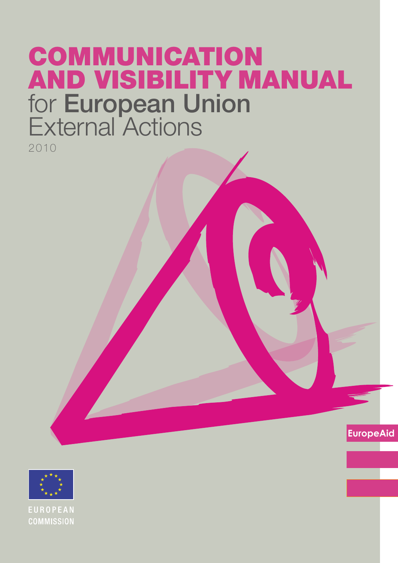# **COMMUNICATION** AND VISIBILITY MANUAL for European Union External Actions 2010



**EUROPEAN COMMISSION**  **EuropeAid**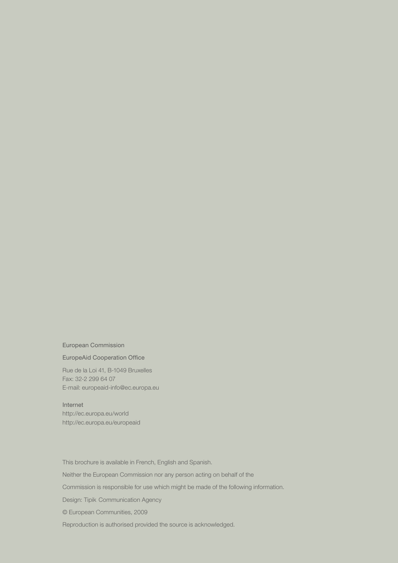#### European Commission

#### EuropeAid Cooperation Office

Rue de la Loi 41, B-1049 Bruxelles Fax: 32-2 299 64 07 E-mail: europeaid-info@ec.europa.eu

Internet http://ec.europa.eu/world http://ec.europa.eu/europeaid

This brochure is available in French, English and Spanish. Neither the European Commission nor any person acting on behalf of the Commission is responsible for use which might be made of the following information. Design: Tipik Communication Agency © European Communities, 2009 Reproduction is authorised provided the source is acknowledged.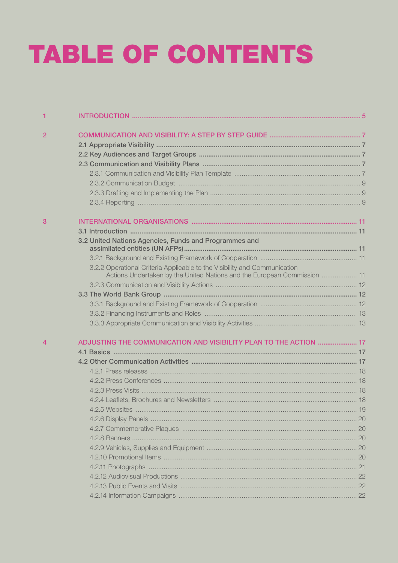# **TABLE OF CONTENTS**

| 1              |                                                                                                                                                       |  |
|----------------|-------------------------------------------------------------------------------------------------------------------------------------------------------|--|
| $\overline{2}$ |                                                                                                                                                       |  |
|                |                                                                                                                                                       |  |
|                |                                                                                                                                                       |  |
|                |                                                                                                                                                       |  |
|                |                                                                                                                                                       |  |
|                |                                                                                                                                                       |  |
|                |                                                                                                                                                       |  |
|                |                                                                                                                                                       |  |
| 3              |                                                                                                                                                       |  |
|                |                                                                                                                                                       |  |
|                | 3.2 United Nations Agencies, Funds and Programmes and                                                                                                 |  |
|                |                                                                                                                                                       |  |
|                |                                                                                                                                                       |  |
|                | 3.2.2 Operational Criteria Applicable to the Visibility and Communication<br>Actions Undertaken by the United Nations and the European Commission  11 |  |
|                |                                                                                                                                                       |  |
|                |                                                                                                                                                       |  |
|                |                                                                                                                                                       |  |
|                |                                                                                                                                                       |  |
|                |                                                                                                                                                       |  |
|                |                                                                                                                                                       |  |
| $\overline{4}$ | ADJUSTING THE COMMUNICATION AND VISIBILITY PLAN TO THE ACTION  17                                                                                     |  |
|                |                                                                                                                                                       |  |
|                |                                                                                                                                                       |  |
|                |                                                                                                                                                       |  |
|                |                                                                                                                                                       |  |
|                |                                                                                                                                                       |  |
|                |                                                                                                                                                       |  |
|                |                                                                                                                                                       |  |
|                |                                                                                                                                                       |  |
|                |                                                                                                                                                       |  |
|                |                                                                                                                                                       |  |
|                |                                                                                                                                                       |  |
|                |                                                                                                                                                       |  |
|                |                                                                                                                                                       |  |
|                |                                                                                                                                                       |  |
|                |                                                                                                                                                       |  |
|                |                                                                                                                                                       |  |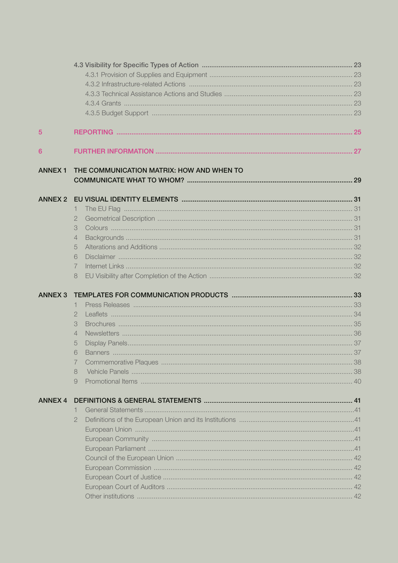| 5              |                |                                           |  |  |  |  |  |
|----------------|----------------|-------------------------------------------|--|--|--|--|--|
| 6              |                |                                           |  |  |  |  |  |
| <b>ANNEX1</b>  |                | THE COMMUNICATION MATRIX: HOW AND WHEN TO |  |  |  |  |  |
|                |                |                                           |  |  |  |  |  |
| <b>ANNEX 2</b> |                |                                           |  |  |  |  |  |
|                | 1              |                                           |  |  |  |  |  |
|                | 2              |                                           |  |  |  |  |  |
|                | 3              |                                           |  |  |  |  |  |
|                | $\overline{4}$ |                                           |  |  |  |  |  |
|                | 5              |                                           |  |  |  |  |  |
|                | 6              |                                           |  |  |  |  |  |
|                | 7              |                                           |  |  |  |  |  |
|                | 8              |                                           |  |  |  |  |  |
| <b>ANNEX 3</b> |                |                                           |  |  |  |  |  |
|                | 1              |                                           |  |  |  |  |  |
|                | $\overline{2}$ |                                           |  |  |  |  |  |
|                | 3              |                                           |  |  |  |  |  |
|                | $\overline{4}$ |                                           |  |  |  |  |  |
|                | 5              |                                           |  |  |  |  |  |
|                | 6              |                                           |  |  |  |  |  |
|                | 7              |                                           |  |  |  |  |  |
|                | 8<br>9         |                                           |  |  |  |  |  |
|                |                |                                           |  |  |  |  |  |
| <b>ANNEX 4</b> |                |                                           |  |  |  |  |  |
|                | 1              |                                           |  |  |  |  |  |
|                | $\overline{2}$ |                                           |  |  |  |  |  |
|                |                |                                           |  |  |  |  |  |
|                |                |                                           |  |  |  |  |  |
|                |                |                                           |  |  |  |  |  |
|                |                |                                           |  |  |  |  |  |
|                |                |                                           |  |  |  |  |  |
|                |                |                                           |  |  |  |  |  |
|                |                |                                           |  |  |  |  |  |
|                |                |                                           |  |  |  |  |  |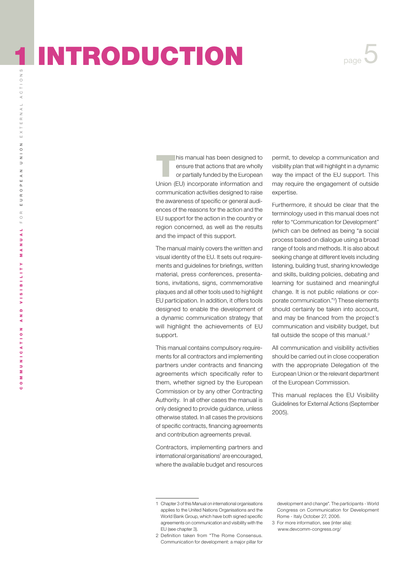# INTRODUCTION **page**

Ihis manual has been designed to ensure that actions that are wholly or partially funded by the European Union (EU) incorporate information and communication activities designed to raise the awareness of specific or general audiences of the reasons for the action and the EU support for the action in the country or region concerned, as well as the results and the impact of this support.

The manual mainly covers the written and visual identity of the EU. It sets out requirements and guidelines for briefings, written material, press conferences, presentations, invitations, signs, commemorative plaques and all other tools used to highlight EU participation. In addition, it offers tools designed to enable the development of a dynamic communication strategy that will highlight the achievements of EU support.

This manual contains compulsory requirements for all contractors and implementing partners under contracts and financing agreements which specifically refer to them, whether signed by the European Commission or by any other Contracting Authority. In all other cases the manual is only designed to provide guidance, unless otherwise stated. In all cases the provisions of specific contracts, financing agreements and contribution agreements prevail.

Contractors, implementing partners and international organisations<sup>1</sup> are encouraged, where the available budget and resources

permit, to develop a communication and visibility plan that will highlight in a dynamic way the impact of the EU support. This may require the engagement of outside expertise.

Furthermore, it should be clear that the terminology used in this manual does not refer to "Communication for Development" (which can be defined as being "a social process based on dialogue using a broad range of tools and methods. It is also about seeking change at different levels including listening, building trust, sharing knowledge and skills, building policies, debating and learning for sustained and meaningful change. It is not public relations or corporate communication."2 ) These elements should certainly be taken into account, and may be financed from the project's communication and visibility budget, but fall outside the scope of this manual.<sup>3</sup>

All communication and visibility activities should be carried out in close cooperation with the appropriate Delegation of the European Union or the relevant department of the European Commission.

This manual replaces the EU Visibility Guidelines for External Actions (September 2005).

development and change". The participants - World Congress on Communication for Development Rome - Italy October 27, 2006.

3 For more information, see (inter alia): www.devcomm-congress.org/

<sup>1</sup> Chapter 3 of this Manual on international organisations applies to the United Nations Organisations and the World Bank Group, which have both signed specific agreements on communication and visibility with the EU (see chapter 3).

<sup>2</sup> Definition taken from "The Rome Consensus. Communication for development: a major pillar for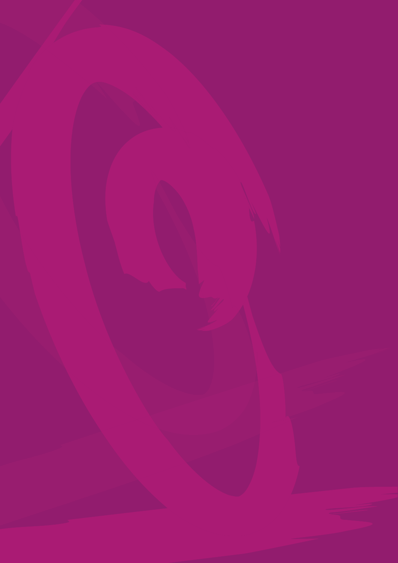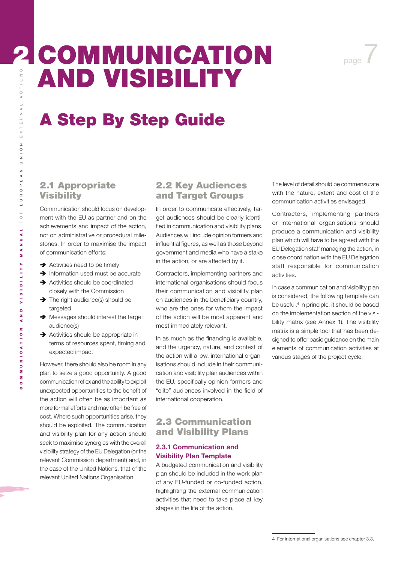# 2 COMMUNICATION AND VISIBILITY

A Step By Step Guide

# 2.1 Appropriate **Visibility**

Communication should focus on development with the EU as partner and on the achievements and impact of the action, not on administrative or procedural milestones. In order to maximise the impact of communication efforts:

- $\rightarrow$  Activities need to be timely
- $\rightarrow$  Information used must be accurate
- **→** Activities should be coordinated closely with the Commission
- $\rightarrow$  The right audience(s) should be targeted
- $\rightarrow$  Messages should interest the target audience(s)
- $\rightarrow$  Activities should be appropriate in terms of resources spent, timing and expected impact

However, there should also be room in any plan to seize a good opportunity. A good communication reflex and the ability to exploit unexpected opportunities to the benefit of the action will often be as important as more formal efforts and may often be free of cost. Where such opportunities arise, they should be exploited. The communication and visibility plan for any action should seek to maximise synergies with the overall visibility strategy of the EU Delegation (or the relevant Commission department) and, in the case of the United Nations, that of the relevant United Nations Organisation.

## 2.2 Key Audiences and Target Groups

In order to communicate effectively, target audiences should be clearly identified in communication and visibility plans. Audiences will include opinion formers and influential figures, as well as those beyond government and media who have a stake in the action, or are affected by it.

Contractors, implementing partners and international organisations should focus their communication and visibility plan on audiences in the beneficiary country, who are the ones for whom the impact of the action will be most apparent and most immediately relevant.

In as much as the financing is available, and the urgency, nature, and context of the action will allow, international organisations should include in their communication and visibility plan audiences within the EU, specifically opinion-formers and "elite" audiences involved in the field of international cooperation.

# 2.3 Communication and Visibility Plans

#### 2.3.1 Communication and Visibility Plan Template

A budgeted communication and visibility plan should be included in the work plan of any EU-funded or co-funded action, highlighting the external communication activities that need to take place at key stages in the life of the action.

The level of detail should be commensurate with the nature, extent and cost of the communication activities envisaged.

page

Contractors, implementing partners or international organisations should produce a communication and visibility plan which will have to be agreed with the EU Delegation staff managing the action, in close coordination with the EU Delegation staff responsible for communication activities.

In case a communication and visibility plan is considered, the following template can be useful.<sup>4</sup> In principle, it should be based on the implementation section of the visibility matrix (see Annex 1). The visibility matrix is a simple tool that has been designed to offer basic guidance on the main elements of communication activities at various stages of the project cycle.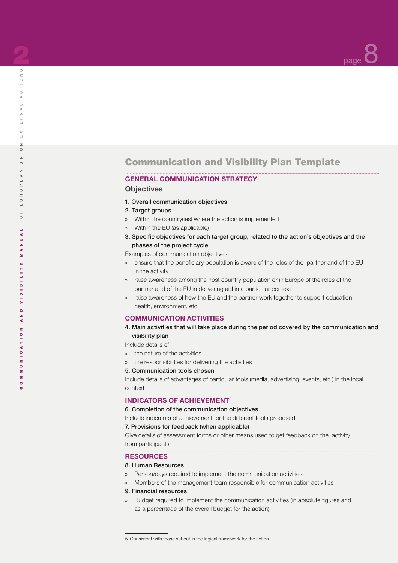# Communication and Visibility Plan Template

# GENERAL COMMUNICATION STRATEGY

#### **Objectives**

- 1. Overall communication objectives
- 2. Target groups
- » Within the country(ies) where the action is implemented
- » Within the EU (as applicable)
- 3. Specific objectives for each target group, related to the action's objectives and the phases of the project cycle

Examples of communication objectives:

- » ensure that the beneficiary population is aware of the roles of the partner and of the EU in the activity
- » raise awareness among the host country population or in Europe of the roles of the partner and of the EU in delivering aid in a particular context
- » raise awareness of how the EU and the partner work together to support education, health, environment, etc

#### COMMUNICATION ACTIVITIES

4. Main activities that will take place during the period covered by the communication and visibility plan

Include details of:

- » the nature of the activities
- the responsibilities for delivering the activities
- 5. Communication tools chosen

Include details of advantages of particular tools (media, advertising, events, etc.) in the local context

#### INDICATORS OF ACHIEVEMENT<sup>5</sup>

6. Completion of the communication objectives

Include indicators of achievement for the different tools proposed

7. Provisions for feedback (when applicable)

Give details of assessment forms or other means used to get feedback on the activity from participants

#### **RESOURCES**

#### 8. Human Resources

- » Person/days required to implement the communication activities
- » Members of the management team responsible for communication activities

#### 9. Financial resources

» Budget required to implement the communication activities (in absolute figures and as a percentage of the overall budget for the action)

ACTION

 $E \times T \in R N A L$ 

 $\overline{z}$ 

<sup>5</sup> Consistent with those set out in the logical framework for the action.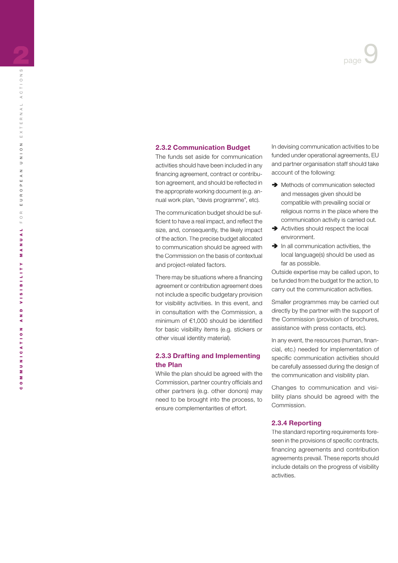#### 2.3.2 Communication Budget

The funds set aside for communication activities should have been included in any financing agreement, contract or contribution agreement, and should be reflected in the appropriate working document (e.g. annual work plan, "devis programme", etc).

The communication budget should be sufficient to have a real impact, and reflect the size, and, consequently, the likely impact of the action. The precise budget allocated to communication should be agreed with the Commission on the basis of contextual and project-related factors.

There may be situations where a financing agreement or contribution agreement does not include a specific budgetary provision for visibility activities. In this event, and in consultation with the Commission, a minimum of  $€1,000$  should be identified for basic visibility items (e.g. stickers or other visual identity material).

#### 2.3.3 Drafting and Implementing the Plan

While the plan should be agreed with the Commission, partner country officials and other partners (e.g. other donors) may need to be brought into the process, to ensure complementarities of effort.

In devising communication activities to be funded under operational agreements, EU and partner organisation staff should take account of the following:

- $\rightarrow$  Methods of communication selected and messages given should be compatible with prevailing social or religious norms in the place where the communication activity is carried out.
- $\rightarrow$  Activities should respect the local environment.
- $\rightarrow$  In all communication activities, the local language(s) should be used as far as possible.

Outside expertise may be called upon, to be funded from the budget for the action, to carry out the communication activities.

Smaller programmes may be carried out directly by the partner with the support of the Commission (provision of brochures, assistance with press contacts, etc).

In any event, the resources (human, financial, etc.) needed for implementation of specific communication activities should be carefully assessed during the design of the communication and visibility plan.

Changes to communication and visibility plans should be agreed with the Commission.

#### 2.3.4 Reporting

The standard reporting requirements foreseen in the provisions of specific contracts, financing agreements and contribution agreements prevail. These reports should include details on the progress of visibility activities.

2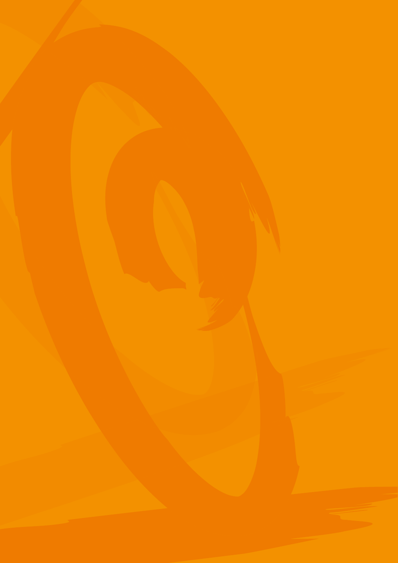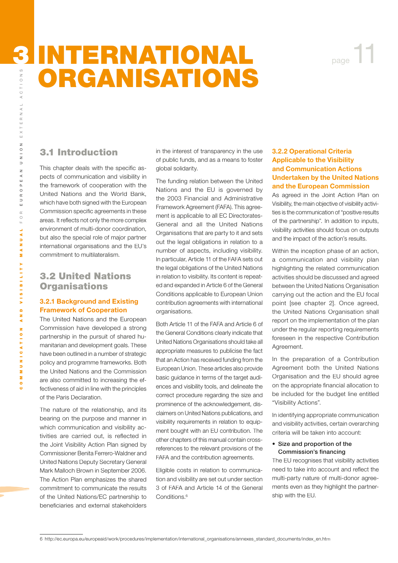# 3 INTERNATIONAL page 11 ORGANISATIONS

# 3.1 Introduction

This chapter deals with the specific aspects of communication and visibility in the framework of cooperation with the United Nations and the World Bank, which have both signed with the European Commission specific agreements in these areas. It reflects not only the more complex environment of multi-donor coordination, but also the special role of major partner international organisations and the EU's commitment to multilateralism.

# 3.2 United Nations **Organisations**

#### 3.2.1 Background and Existing Framework of Cooperation

The United Nations and the European Commission have developed a strong partnership in the pursuit of shared humanitarian and development goals. These have been outlined in a number of strategic policy and programme frameworks. Both the United Nations and the Commission are also committed to increasing the effectiveness of aid in line with the principles of the Paris Declaration.

The nature of the relationship, and its bearing on the purpose and manner in which communication and visibility activities are carried out, is reflected in the Joint Visibility Action Plan signed by Commissioner Benita Ferrero-Waldner and United Nations Deputy Secretary General Mark Malloch Brown in September 2006. The Action Plan emphasizes the shared commitment to communicate the results of the United Nations/EC partnership to beneficiaries and external stakeholders

in the interest of transparency in the use of public funds, and as a means to foster global solidarity.

The funding relation between the United Nations and the EU is governed by the 2003 Financial and Administrative Framework Agreement (FAFA). This agreement is applicable to all EC Directorates-General and all the United Nations Organisations that are party to it and sets out the legal obligations in relation to a number of aspects, including visibility. In particular, Article 11 of the FAFA sets out the legal obligations of the United Nations in relation to visibility. Its content is repeated and expanded in Article 6 of the General Conditions applicable to European Union contribution agreements with international organisations.

Both Article 11 of the FAFA and Article 6 of the General Conditions clearly indicate that United Nations Organisations should take all appropriate measures to publicise the fact that an Action has received funding from the European Union. These articles also provide basic guidance in terms of the target audiences and visibility tools, and delineate the correct procedure regarding the size and prominence of the acknowledgement, disclaimers on United Nations publications, and visibility requirements in relation to equipment bought with an EU contribution. The other chapters of this manual contain crossreferences to the relevant provisions of the FAFA and the contribution agreements.

Eligible costs in relation to communication and visibility are set out under section 3 of FAFA and Article 14 of the General Conditions.<sup>6</sup>

#### 3.2.2 Operational Criteria Applicable to the Visibility and Communication Actions Undertaken by the United Nations and the European Commission

As agreed in the Joint Action Plan on Visibility, the main objective of visibility activities is the communication of "positive results of the partnership". In addition to inputs, visibility activities should focus on outputs and the impact of the action's results.

Within the inception phase of an action, a communication and visibility plan highlighting the related communication activities should be discussed and agreed between the United Nations Organisation carrying out the action and the EU focal point [see chapter 2]. Once agreed, the United Nations Organisation shall report on the implementation of the plan under the regular reporting requirements foreseen in the respective Contribution Agreement.

In the preparation of a Contribution Agreement both the United Nations Organisation and the EU should agree on the appropriate financial allocation to be included for the budget line entitled "Visibility Actions".

In identifying appropriate communication and visibility activities, certain overarching criteria will be taken into account:

• Size and proportion of the Commission's financing

The EU recognises that visibility activities need to take into account and reflect the multi-party nature of multi-donor agreements even as they highlight the partnership with the EU.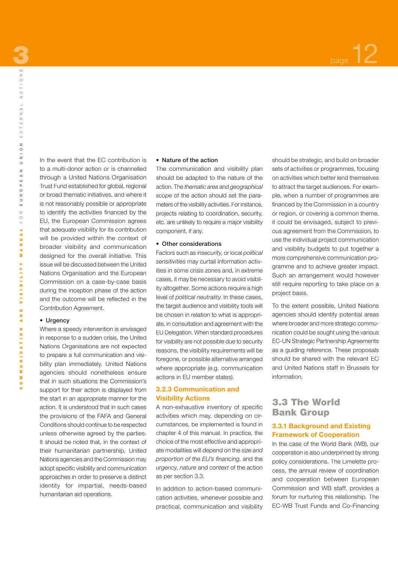In the event that the EC contribution is to a multi-donor action or is channelled through a United Nations Organisation Trust Fund established for global, regional or broad thematic initiatives, and where it is not reasonably possible or appropriate to identify the activities financed by the EU, the European Commission agrees that adequate visibility for its contribution will be provided within the context of broader visibility and communication designed for the overall initiative. This issue will be discussed between the United Nations Organisation and the European Commission on a case-by-case basis during the inception phase of the action and the outcome will be reflected in the Contribution Agreement.

#### • Urgency

Where a speedy intervention is envisaged in response to a sudden crisis, the United Nations Organisations are not expected to prepare a full communication and visibility plan immediately. United Nations agencies should nonetheless ensure that in such situations the Commission's support for their action is displayed from the start in an appropriate manner for the action. It is understood that in such cases the provisions of the FAFA and General Conditions should continue to be respected unless otherwise agreed by the parties. It should be noted that, in the context of their humanitarian partnership, United Nations agencies and the Commission may adopt specific visibility and communication approaches in order to preserve a distinct identity for impartial, needs-based humanitarian aid operations.

#### • Nature of the action

The communication and visibility plan should be adapted to the nature of the action. The *thematic area* and *geographical scope* of the action should set the parameters of the visibility activities. For instance, projects relating to coordination, security, etc. are unlikely to require a major visibility component, if any.

#### • Other considerations

Factors such as *insecurity*, or local *political sensitivities* may curtail information activities in some crisis zones and, in extreme cases, it may be necessary to avoid visibility altogether. Some actions require a high level of *political neutrality*. In these cases, the target audience and visibility tools will be chosen in relation to what is appropriate, in consultation and agreement with the EU Delegation. When standard procedures for visibility are not possible due to security reasons, the visibility requirements will be foregone, or possible alternative arranged where appropriate (e.g. communication actions in EU member states).

#### 3.2.3 Communication and Visibility Actions

A non-exhaustive inventory of specific activities which may, depending on circumstances, be implemented is found in chapter 4 of this manual. In practice, the choice of the most effective and appropriate modalities will depend on the *size and proportion of the EU's financing*, and the *urgency*, *nature* and *context* of the action as per section 3.3.

In addition to action-based communication activities, whenever possible and practical, communication and visibility should be strategic, and build on broader sets of activities or programmes, focusing on activities which better lend themselves to attract the target audiences. For example, when a number of programmes are financed by the Commission in a country or region, or covering a common theme, it could be envisaged, subject to previous agreement from the Commission, to use the individual project communication and visibility budgets to put together a more comprehensive communication programme and to achieve greater impact. Such an arrangement would however still require reporting to take place on a project basis.

To the extent possible, United Nations agencies should identify potential areas where broader and more strategic communication could be sought using the various EC-UN Strategic Partnership Agreements as a guiding reference. These proposals should be shared with the relevant EC and United Nations staff in Brussels for information.

### 3.3 The World Bank Group

#### 3.3.1 Background and Existing Framework of Cooperation

In the case of the World Bank (WB), our cooperation is also underpinned by strong policy considerations. The Limelette process, the annual review of coordination and cooperation between European Commission and WB staff, provides a forum for nurturing this relationship. The EC-WB Trust Funds and Co-Financing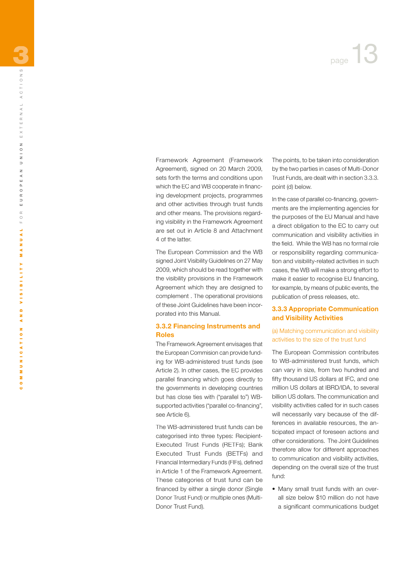Framework Agreement (Framework Agreement), signed on 20 March 2009, sets forth the terms and conditions upon which the EC and WB cooperate in financing development projects, programmes and other activities through trust funds and other means. The provisions regarding visibility in the Framework Agreement are set out in Article 8 and Attachment 4 of the latter.

The European Commission and the WB signed Joint Visibility Guidelines on 27 May 2009, which should be read together with the visibility provisions in the Framework Agreement which they are designed to complement . The operational provisions of these Joint Guidelines have been incorporated into this Manual.

#### 3.3.2 Financing Instruments and Roles

The Framework Agreement envisages that the European Commision can provide funding for WB-administered trust funds (see Article 2). In other cases, the EC provides parallel financing which goes directly to the governments in developing countries but has close ties with ("parallel to") WBsupported activities ("parallel co-financing", see Article 6).

The WB-administered trust funds can be categorised into three types: Recipient-Executed Trust Funds (RETFs); Bank Executed Trust Funds (BETFs) and Financial Intermediary Funds (FIFs), defined in Article 1 of the Framework Agreement. These categories of trust fund can be financed by either a single donor (Single Donor Trust Fund) or multiple ones (Multi-Donor Trust Fund).

The points, to be taken into consideration by the two parties in cases of Multi-Donor Trust Funds, are dealt with in section 3.3.3. point (d) below.

In the case of parallel co-financing, governments are the implementing agencies for the purposes of the EU Manual and have a direct obligation to the EC to carry out communication and visibility activities in the field. While the WB has no formal role or responsibility regarding communication and visibility-related activities in such cases, the WB will make a strong effort to make it easier to recognise EU financing, for example, by means of public events, the publication of press releases, etc.

#### 3.3.3 Appropriate Communication and Visibility Activities

#### (a) Matching communication and visibility activities to the size of the trust fund

The European Commission contributes to WB-administered trust funds, which can vary in size, from two hundred and fifty thousand US dollars at IFC, and one million US dollars at IBRD/IDA, to several billion US dollars. The communication and visibility activities called for in such cases will necessarily vary because of the differences in available resources, the anticipated impact of foreseen actions and other considerations. The Joint Guidelines therefore allow for different approaches to communication and visibility activities, depending on the overall size of the trust fund:

• Many small trust funds with an overall size below \$10 million do not have a significant communications budget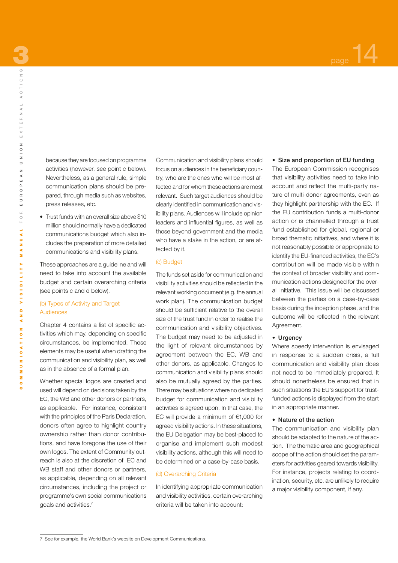because they are focused on programme activities (however, see point c below). Nevertheless, as a general rule, simple communication plans should be prepared, through media such as websites, press releases, etc.

• Trust funds with an overall size above \$10 million should normally have a dedicated communications budget which also includes the preparation of more detailed communications and visibility plans.

These approaches are a guideline and will need to take into account the available budget and certain overarching criteria (see points c and d below).

#### (b) Types of Activity and Target Audiences

Chapter 4 contains a list of specific activities which may, depending on specific circumstances, be implemented. These elements may be useful when drafting the communication and visibility plan, as well as in the absence of a formal plan.

Whether special logos are created and used will depend on decisions taken by the EC, the WB and other donors or partners, as applicable. For instance, consistent with the principles of the Paris Declaration, donors often agree to highlight country ownership rather than donor contributions, and have foregone the use of their own logos. The extent of Community outreach is also at the discretion of EC and WB staff and other donors or partners. as applicable, depending on all relevant circumstances, including the project or programme's own social communications goals and activities.7

Communication and visibility plans should focus on audiences in the beneficiary country, who are the ones who will be most affected and for whom these actions are most relevant. Such target audiences should be clearly identified in communication and visibility plans. Audiences will include opinion leaders and influential figures, as well as those beyond government and the media who have a stake in the action, or are affected by it.

#### (c) Budget

The funds set aside for communication and visibility activities should be reflected in the relevant working document (e.g. the annual work plan). The communication budget should be sufficient relative to the overall size of the trust fund in order to realise the communication and visibility objectives. The budget may need to be adjusted in the light of relevant circumstances by agreement between the EC, WB and other donors, as applicable. Changes to communication and visibility plans should also be mutually agreed by the parties. There may be situations where no dedicated budget for communication and visibility activities is agreed upon. In that case, the EC will provide a minimum of €1,000 for agreed visibility actions. In these situations, the EU Delegation may be best-placed to organise and implement such modest visibility actions, although this will need to be determined on a case-by-case basis.

#### (d) Overarching Criteria

In identifying appropriate communication and visibility activities, certain overarching criteria will be taken into account:

#### • Size and proportion of EU funding

The European Commission recognises that visibility activities need to take into account and reflect the multi-party nature of multi-donor agreements, even as they highlight partnership with the EC. If the EU contribution funds a multi-donor action or is channelled through a trust fund established for global, regional or broad thematic initiatives, and where it is not reasonably possible or appropriate to identify the EU-financed activities, the EC's contribution will be made visible within the context of broader visibility and communication actions designed for the overall initiative. This issue will be discussed between the parties on a case-by-case basis during the inception phase, and the outcome will be reflected in the relevant Agreement.

#### • Urgency

Where speedy intervention is envisaged in response to a sudden crisis, a full communication and visibility plan does not need to be immediately prepared. It should nonetheless be ensured that in such situations the EU's support for trustfunded actions is displayed from the start in an appropriate manner.

#### • Nature of the action

The communication and visibility plan should be adapted to the nature of the action. The thematic area and geographical scope of the action should set the parameters for activities geared towards visibility. For instance, projects relating to coordination, security, etc. are unlikely to require a major visibility component, if any.

<sup>7</sup> See for example, the World Bank's website on Development Communications.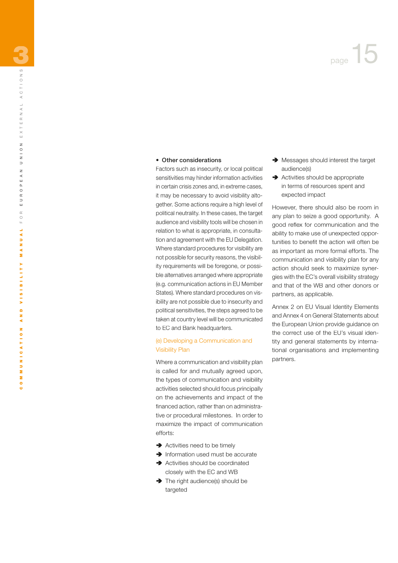#### • Other considerations

Factors such as insecurity, or local political sensitivities may hinder information activities in certain crisis zones and, in extreme cases, it may be necessary to avoid visibility altogether. Some actions require a high level of political neutrality. In these cases, the target audience and visibility tools will be chosen in relation to what is appropriate, in consultation and agreement with the EU Delegation. Where standard procedures for visibility are not possible for security reasons, the visibility requirements will be foregone, or possible alternatives arranged where appropriate (e.g. communication actions in EU Member States). Where standard procedures on visibility are not possible due to insecurity and political sensitivities, the steps agreed to be taken at country level will be communicated to EC and Bank headquarters.

#### (e) Developing a Communication and Visibility Plan

Where a communication and visibility plan is called for and mutually agreed upon, the types of communication and visibility activities selected should focus principally on the achievements and impact of the financed action, rather than on administrative or procedural milestones. In order to maximize the impact of communication efforts:

- $\rightarrow$  Activities need to be timely
- $\rightarrow$  Information used must be accurate
- Activities should be coordinated closely with the EC and WB
- $\rightarrow$  The right audience(s) should be targeted
- $\rightarrow$  Messages should interest the target audience(s)
- $\rightarrow$  Activities should be appropriate in terms of resources spent and expected impact

However, there should also be room in any plan to seize a good opportunity. A good reflex for communication and the ability to make use of unexpected opportunities to benefit the action will often be as important as more formal efforts. The communication and visibility plan for any action should seek to maximize synergies with the EC's overall visibility strategy and that of the WB and other donors or partners, as applicable.

Annex 2 on EU Visual Identity Elements and Annex 4 on General Statements about the European Union provide guidance on the correct use of the EU's visual identity and general statements by international organisations and implementing partners.

3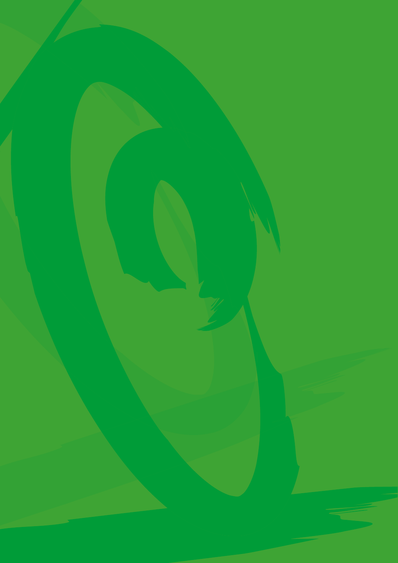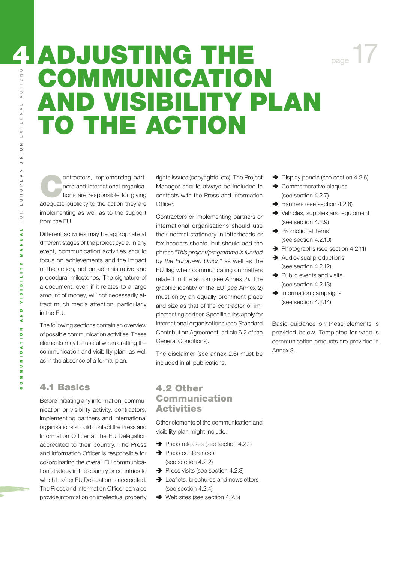page 17

# 4 ADJUSTING THE **COMMUNICATION** AND VISIBILITY PLAN TO THE ACTION

ontractors, implementing part-<br>ners and international organisations are responsible for giving<br>advanced in the settent through ners and international organisations are responsible for giving adequate publicity to the action they are implementing as well as to the support from the EU.

Different activities may be appropriate at different stages of the project cycle. In any event, communication activities should focus on achievements and the impact of the action, not on administrative and procedural milestones. The signature of a document, even if it relates to a large amount of money, will not necessarily attract much media attention, particularly in the EU.

The following sections contain an overview of possible communication activities. These elements may be useful when drafting the communication and visibility plan, as well as in the absence of a formal plan.

# 4.1 Basics

Before initiating any information, communication or visibility activity, contractors, implementing partners and international organisations should contact the Press and Information Officer at the EU Delegation accredited to their country. The Press and Information Officer is responsible for co-ordinating the overall EU communication strategy in the country or countries to which his/her EU Delegation is accredited. The Press and Information Officer can also provide information on intellectual property

rights issues (copyrights, etc). The Project Manager should always be included in contacts with the Press and Information Officer.

Contractors or implementing partners or international organisations should use their normal stationery in letterheads or fax headers sheets, but should add the phrase "*This project/programme is funded by the European Union*" as well as the EU flag when communicating on matters related to the action (see Annex 2). The graphic identity of the EU (see Annex 2) must enjoy an equally prominent place and size as that of the contractor or implementing partner. Specific rules apply for international organisations (see Standard Contribution Agreement, article 6.2 of the General Conditions).

The disclaimer (see annex 2.6) must be included in all publications.

## 4.2 Other **Communication Activities**

Other elements of the communication and visibility plan might include:

- $\rightarrow$  Press releases (see section 4.2.1)
- $\rightarrow$  Press conferences (see section 4.2.2)
- $\rightarrow$  Press visits (see section 4.2.3)
- $\rightarrow$  Leaflets, brochures and newsletters (see section 4.2.4)
- $\rightarrow$  Web sites (see section 4.2.5)
- Display panels (see section 4.2.6)
- **→** Commemorative plaques (see section 4.2.7)
- Banners (see section 4.2.8)
- **→** Vehicles, supplies and equipment (see section 4.2.9)
- $\rightarrow$  Promotional items (see section 4.2.10)
- $\rightarrow$  Photographs (see section 4.2.11)
- $\rightarrow$  Audiovisual productions (see section 4.2.12)
- $\rightarrow$  Public events and visits (see section 4.2.13)
- $\rightarrow$  Information campaigns (see section 4.2.14)

Basic guidance on these elements is provided below. Templates for various communication products are provided in Annex 3.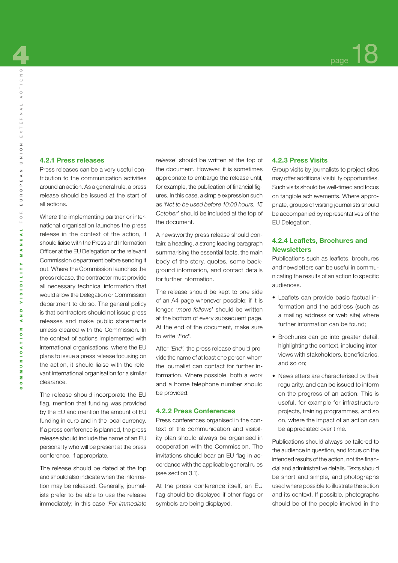#### 4.2.1 Press releases

Press releases can be a very useful contribution to the communication activities around an action. As a general rule, a press release should be issued at the start of all actions.

Where the implementing partner or international organisation launches the press release in the context of the action, it should liaise with the Press and Information Officer at the EU Delegation or the relevant Commission department before sending it out. Where the Commission launches the press release, the contractor must provide all necessary technical information that would allow the Delegation or Commission department to do so. The general policy is that contractors should not issue press releases and make public statements unless cleared with the Commission. In the context of actions implemented with international organisations, where the EU plans to issue a press release focusing on the action, it should liaise with the relevant international organisation for a similar clearance.

The release should incorporate the EU flag, mention that funding was provided by the EU and mention the amount of EU funding in euro and in the local currency. If a press conference is planned, the press release should include the name of an EU personality who will be present at the press conference, if appropriate.

The release should be dated at the top and should also indicate when the information may be released. Generally, journalists prefer to be able to use the release immediately; in this case '*For immediate* 

*release*' should be written at the top of the document. However, it is sometimes appropriate to embargo the release until, for example, the publication of financial figures. In this case, a simple expression such as '*Not to be used before 10:00 hours, 15 October*' should be included at the top of the document.

A newsworthy press release should contain: a heading, a strong leading paragraph summarising the essential facts, the main body of the story, quotes, some background information, and contact details for further information.

The release should be kept to one side of an A4 page whenever possible; if it is longer, '*more follows*' should be written at the bottom of every subsequent page. At the end of the document, make sure to write *'End'*.

After *'End'*, the press release should provide the name of at least one person whom the journalist can contact for further information. Where possible, both a work and a home telephone number should be provided.

#### 4.2.2 Press Conferences

Press conferences organised in the context of the communication and visibility plan should always be organised in cooperation with the Commission. The invitations should bear an EU flag in accordance with the applicable general rules (see section 3.1).

At the press conference itself, an EU flag should be displayed if other flags or symbols are being displayed.

#### 4.2.3 Press Visits

Group visits by journalists to project sites may offer additional visibility opportunities. Such visits should be well-timed and focus on tangible achievements. Where appropriate, groups of visiting journalists should be accompanied by representatives of the EU Delegation.

#### 4.2.4 Leaflets, Brochures and **Newsletters**

Publications such as leaflets, brochures and newsletters can be useful in communicating the results of an action to specific audiences.

- Leaflets can provide basic factual information and the address (such as a mailing address or web site) where further information can be found;
- Brochures can go into greater detail, highlighting the context, including interviews with stakeholders, beneficiaries, and so on;
- Newsletters are characterised by their regularity, and can be issued to inform on the progress of an action. This is useful, for example for infrastructure projects, training programmes, and so on, where the impact of an action can be appreciated over time.

Publications should always be tailored to the audience in question, and focus on the intended results of the action, not the financial and administrative details. Texts should be short and simple, and photographs used where possible to illustrate the action and its context. If possible, photographs should be of the people involved in the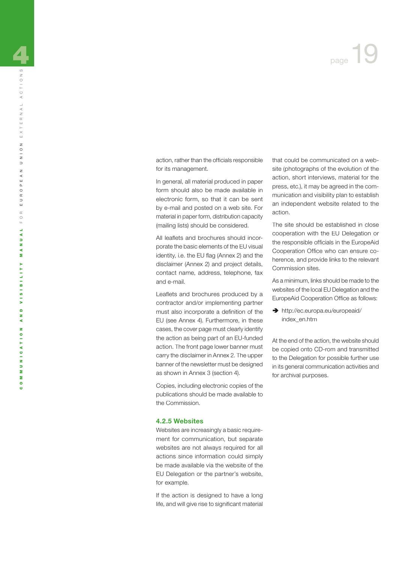action, rather than the officials responsible for its management.

In general, all material produced in paper form should also be made available in electronic form, so that it can be sent by e-mail and posted on a web site. For material in paper form, distribution capacity (mailing lists) should be considered.

All leaflets and brochures should incorporate the basic elements of the EU visual identity, i.e. the EU flag (Annex 2) and the disclaimer (Annex 2) and project details, contact name, address, telephone, fax and e-mail.

Leaflets and brochures produced by a contractor and/or implementing partner must also incorporate a definition of the EU (see Annex 4). Furthermore, in these cases, the cover page must clearly identify the action as being part of an EU-funded action. The front page lower banner must carry the disclaimer in Annex 2. The upper banner of the newsletter must be designed as shown in Annex 3 (section 4).

Copies, including electronic copies of the publications should be made available to the Commission.

#### 4.2.5 Websites

Websites are increasingly a basic requirement for communication, but separate websites are not always required for all actions since information could simply be made available via the website of the EU Delegation or the partner's website, for example.

If the action is designed to have a long life, and will give rise to significant material that could be communicated on a website (photographs of the evolution of the action, short interviews, material for the press, etc.), it may be agreed in the communication and visibility plan to establish an independent website related to the action.

The site should be established in close cooperation with the EU Delegation or the responsible officials in the EuropeAid Cooperation Office who can ensure coherence, and provide links to the relevant Commission sites.

As a minimum, links should be made to the websites of the local EU Delegation and the EuropeAid Cooperation Office as follows:

 http://ec.europa.eu/europeaid/ index\_en.ht m

At the end of the action, the website should be copied onto CD-rom and transmitted to the Delegation for possible further use in its general communication activities and for archival purposes.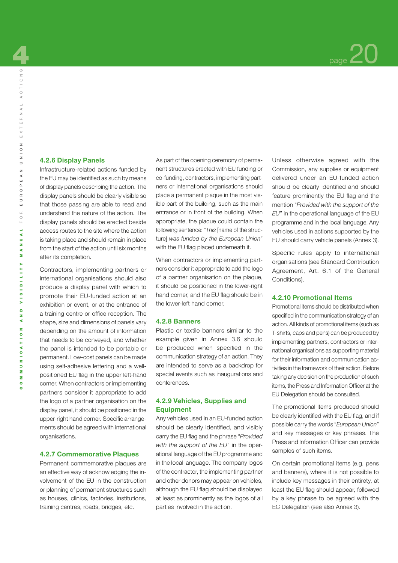#### 4.2.6 Display Panels

Infrastructure-related actions funded by the EU may be identified as such by means of display panels describing the action. The display panels should be clearly visible so that those passing are able to read and understand the nature of the action. The display panels should be erected beside access routes to the site where the action is taking place and should remain in place from the start of the action until six months after its completion.

Contractors, implementing partners or international organisations should also produce a display panel with which to promote their EU-funded action at an exhibition or event, or at the entrance of a training centre or office reception. The shape, size and dimensions of panels vary depending on the amount of information that needs to be conveyed, and whether the panel is intended to be portable or permanent. Low-cost panels can be made using self-adhesive lettering and a wellpositioned EU flag in the upper left-hand corner. When contractors or implementing partners consider it appropriate to add the logo of a partner organisation on the display panel, it should be positioned in the upper-right hand corner. Specific arrangements should be agreed with international organisations.

#### 4.2.7 Commemorative Plaques

Permanent commemorative plaques are an effective way of acknowledging the involvement of the EU in the construction or planning of permanent structures such as houses, clinics, factories, institutions, training centres, roads, bridges, etc.

As part of the opening ceremony of permanent structures erected with EU funding or co-funding, contractors, implementing partners or international organisations should place a permanent plaque in the most visible part of the building, such as the main entrance or in front of the building. When appropriate, the plaque could contain the following sentence: "*This* [name of the structure] *was funded by the European Union*" with the EU flag placed underneath it.

When contractors or implementing partners consider it appropriate to add the logo of a partner organisation on the plaque, it should be positioned in the lower-right hand corner, and the EU flag should be in the lower-left hand corner.

#### 4.2.8 Banners

Plastic or textile banners similar to the example given in Annex 3.6 should be produced when specified in the communication strategy of an action. They are intended to serve as a backdrop for special events such as inaugurations and conferences.

#### 4.2.9 Vehicles, Supplies and **Equipment**

Any vehicles used in an EU-funded action should be clearly identified, and visibly carry the EU flag and the phrase "Provided" *with the support of the EU*" in the operational language of the EU programme and in the local language. The company logos of the contractor, the implementing partner and other donors may appear on vehicles, although the EU flag should be displayed at least as prominently as the logos of all parties involved in the action.

Unless otherwise agreed with the Commission, any supplies or equipment delivered under an EU-funded action should be clearly identified and should feature prominently the EU flag and the mention "*Provided with the support of the EU*" in the operational language of the EU programme and in the local language. Any vehicles used in actions supported by the EU should carry vehicle panels (Annex 3).

Specific rules apply to international organisations (see Standard Contribution Agreement, Art. 6.1 of the General Conditions).

#### 4.2.10 Promotional Items

Promotional items should be distributed when specified in the communication strategy of an action. All kinds of promotional items (such as T-shirts, caps and pens) can be produced by implementing partners, contractors or international organisations as supporting material for their information and communication activities in the framework of their action. Before taking any decision on the production of such items, the Press and Information Officer at the EU Delegation should be consulted.

The promotional items produced should be clearly identified with the EU flag, and if possible carry the words "*European Union*" and key messages or key phrases. The Press and Information Officer can provide samples of such items.

On certain promotional items (e.g. pens and banners), where it is not possible to include key messages in their entirety, at least the EU flag should appear, followed by a key phrase to be agreed with the EC Delegation (see also Annex 3).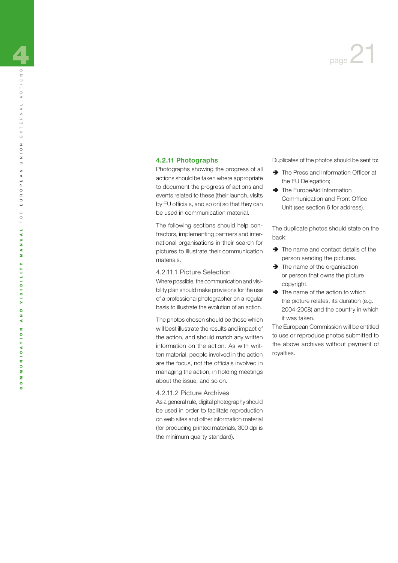#### 4.2.11 Photographs

Photographs showing the progress of all actions should be taken where appropriate to document the progress of actions and events related to these (their launch, visits by EU officials, and so on) so that they can be used in communication material.

The following sections should help contractors, implementing partners and international organisations in their search for pictures to illustrate their communication materials.

#### 4.2.11.1 Picture Selection

Where possible, the communication and visibility plan should make provisions for the use of a professional photographer on a regular basis to illustrate the evolution of an action.

The photos chosen should be those which will best illustrate the results and impact of the action, and should match any written information on the action. As with written material, people involved in the action are the focus, not the officials involved in managing the action, in holding meetings about the issue, and so on.

#### 4.2.11.2 Picture Archives

As a general rule, digital photography should be used in order to facilitate reproduction on web sites and other information material (for producing printed materials, 300 dpi is the minimum quality standard).

Duplicates of the photos should be sent to:

- $\rightarrow$  The Press and Information Officer at the EU Delegation;
- The EuropeAid Information Communication and Front Office Unit (see section 6 for address).

The duplicate photos should state on the back:

- The name and contact details of the person sending the pictures.
- $\rightarrow$  The name of the organisation or person that owns the picture copyright.
- $\rightarrow$  The name of the action to which the picture relates, its duration (e.g. 2004-2008) and the country in which it was taken.

The European Commission will be entitled to use or reproduce photos submitted to the above archives without payment of royalties.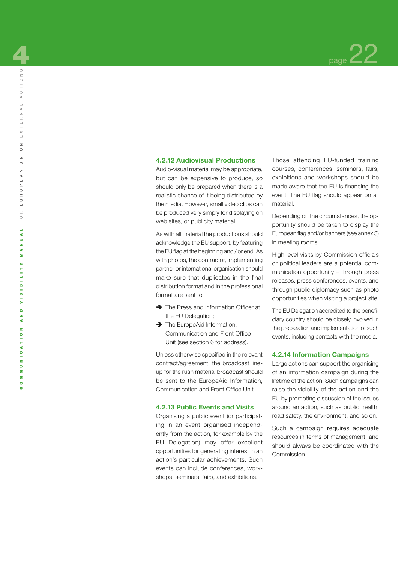

#### 4.2.12 Audiovisual Productions

Audio-visual material may be appropriate, but can be expensive to produce, so should only be prepared when there is a realistic chance of it being distributed by the media. However, small video clips can be produced very simply for displaying on web sites, or publicity material.

As with all material the productions should acknowledge the EU support, by featuring the EU flag at the beginning and / or end. As with photos, the contractor, implementing partner or international organisation should make sure that duplicates in the final distribution format and in the professional format are sent to:

- $\rightarrow$  The Press and Information Officer at the EU Delegation;
- The EuropeAid Information, Communication and Front Office Unit (see section 6 for address).

Unless otherwise specified in the relevant contract/agreement, the broadcast lineup for the rush material broadcast should be sent to the EuropeAid Information, Communication and Front Office Unit.

#### 4.2.13 Public Events and Visits

Organising a public event (or participating in an event organised independently from the action, for example by the EU Delegation) may offer excellent opportunities for generating interest in an action's particular achievements. Such events can include conferences, workshops, seminars, fairs, and exhibitions.

Those attending EU-funded training courses, conferences, seminars, fairs, exhibitions and workshops should be made aware that the EU is financing the event. The EU flag should appear on all material.

Depending on the circumstances, the opportunity should be taken to display the European flag and/or banners (see annex 3) in meeting rooms.

High level visits by Commission officials or political leaders are a potential communication opportunity – through press releases, press conferences, events, and through public diplomacy such as photo opportunities when visiting a project site.

The EU Delegation accredited to the beneficiary country should be closely involved in the preparation and implementation of such events, including contacts with the media.

#### 4.2.14 Information Campaigns

Large actions can support the organising of an information campaign during the lifetime of the action. Such campaigns can raise the visibility of the action and the EU by promoting discussion of the issues around an action, such as public health, road safety, the environment, and so on.

Such a campaign requires adequate resources in terms of management, and should always be coordinated with the Commission.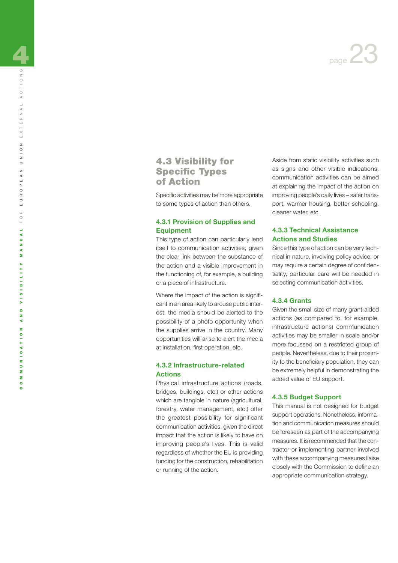## 4.3 Visibility for **Specific Types** of Action

Specific activities may be more appropriate to some types of action than others.

#### 4.3.1 Provision of Supplies and Equipment

This type of action can particularly lend itself to communication activities, given the clear link between the substance of the action and a visible improvement in the functioning of, for example, a building or a piece of infrastructure.

Where the impact of the action is significant in an area likely to arouse public interest, the media should be alerted to the possibility of a photo opportunity when the supplies arrive in the country. Many opportunities will arise to alert the media at installation, first operation, etc.

#### 4.3.2 Infrastructure-related Actions

Physical infrastructure actions (roads, bridges, buildings, etc.) or other actions which are tangible in nature (agricultural, forestry, water management, etc.) offer the greatest possibility for significant communication activities, given the direct impact that the action is likely to have on improving people's lives. This is valid regardless of whether the EU is providing funding for the construction, rehabilitation or running of the action.

Aside from static visibility activities such as signs and other visible indications, communication activities can be aimed at explaining the impact of the action on improving people's daily lives – safer transport, warmer housing, better schooling, cleaner water, etc.

#### 4.3.3 Technical Assistance Actions and Studies

Since this type of action can be very technical in nature, involving policy advice, or may require a certain degree of confidentiality, particular care will be needed in selecting communication activities.

#### 4.3.4 Grants

Given the small size of many grant-aided actions (as compared to, for example, infrastructure actions) communication activities may be smaller in scale and/or more focussed on a restricted group of people. Nevertheless, due to their proximity to the beneficiary population, they can be extremely helpful in demonstrating the added value of EU support.

#### 4.3.5 Budget Support

This manual is not designed for budget support operations. Nonetheless, information and communication measures should be foreseen as part of the accompanying measures. It is recommended that the contractor or implementing partner involved with these accompanying measures liaise closely with the Commission to define an appropriate communication strategy.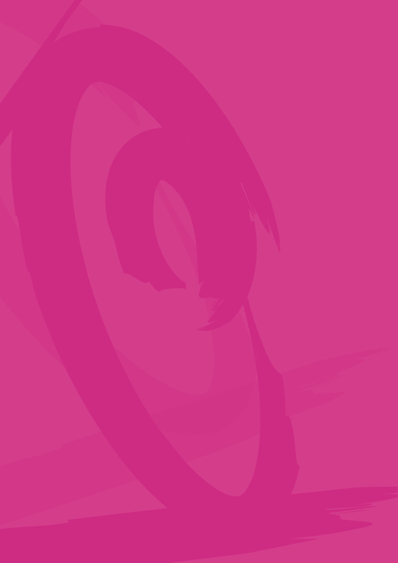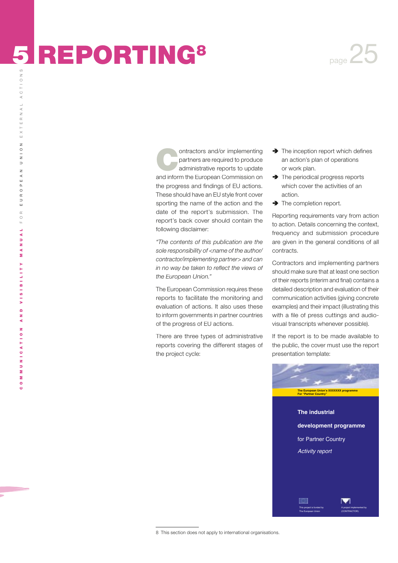# 5 REPORTING8

ontractors and/or implementing<br>partners are required to produce<br>administrative reports to update partners are required to produce administrative reports to update and inform the European Commission on the progress and findings of EU actions. These should have an EU style front cover sporting the name of the action and the date of the report's submission. The report's back cover should contain the following disclaimer:

*"The contents of this publication are the sole responsibility of <name of the author/ contractor/implementing partner> and can in no way be taken to reflect the views of the European Union."*

The European Commission requires these reports to facilitate the monitoring and evaluation of actions. It also uses these to inform governments in partner countries of the progress of EU actions.

There are three types of administrative reports covering the different stages of the project cycle:

- $\rightarrow$  The inception report which defines an action's plan of operations or work plan.
- $\rightarrow$  The periodical progress reports which cover the activities of an action.
- $\rightarrow$  The completion report.

Reporting requirements vary from action to action. Details concerning the context, frequency and submission procedure are given in the general conditions of all contracts.

Contractors and implementing partners should make sure that at least one section of their reports (interim and final) contains a detailed description and evaluation of their communication activities (giving concrete examples) and their impact (illustrating this with a file of press cuttings and audiovisual transcripts whenever possible).

If the report is to be made available to the public, the cover must use the report presentation template:

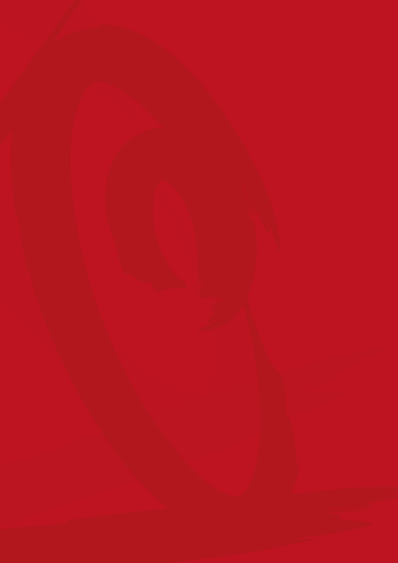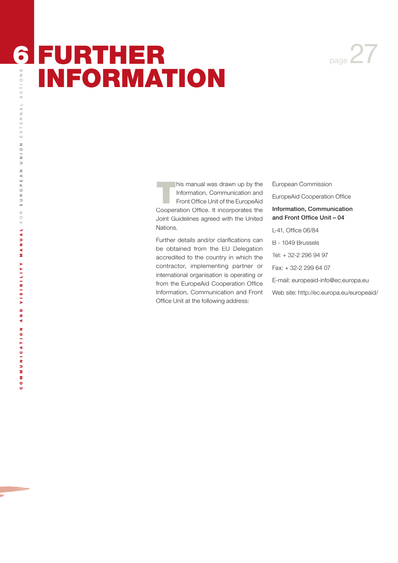# 6 FURTHER INFORMATION

his manual was drawn up by the<br>
Information, Communication and<br>
Front Office Unit of the EuropeAid<br>
Connection Office It incornection the Information, Communication and Cooperation Office. It incorporates the Joint Guidelines agreed with the United Nations.

Further details and/or clarifications can be obtained from the EU Delegation accredited to the country in which the contractor, implementing partner or international organisation is operating or from the EuropeAid Cooperation Office Information, Communication and Front Office Unit at the following address:

European Commission

EuropeAid Cooperation Office

page 27

Information, Communication and Front Office Unit - 04

L-41, Office 06/84 B - 1049 Brussels Tel: + 32-2 296 94 97 Fax: + 32-2 299 64 07 E-mail: europeaid-info@ec.europa.eu Web site: http://ec.europa.eu/europeaid/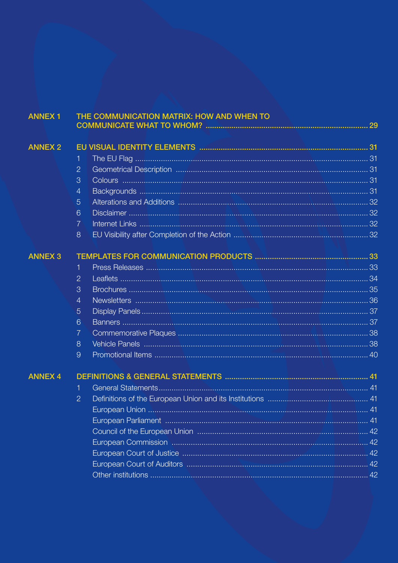| <b>ANNEX 1</b> | THE COMMUNICATION MATRIX: HOW AND WHEN TO                                                                       |  |  |  |
|----------------|-----------------------------------------------------------------------------------------------------------------|--|--|--|
| <b>ANNEX 2</b> | EU VISUAL IDENTITY ELEMENTS MARALLE MARIAL MARITIM AND VISUAL IDENTITY ELEMENTS MARALLE MARIAL MARIAL MARIAL MA |  |  |  |
|                | 1                                                                                                               |  |  |  |
|                | $\overline{2}$                                                                                                  |  |  |  |
|                | 3                                                                                                               |  |  |  |
|                | $\overline{4}$                                                                                                  |  |  |  |
|                | $\overline{5}$                                                                                                  |  |  |  |
|                | 6                                                                                                               |  |  |  |
|                | $\overline{7}$                                                                                                  |  |  |  |
|                | 8                                                                                                               |  |  |  |
| <b>ANNEX 3</b> |                                                                                                                 |  |  |  |
|                | 1                                                                                                               |  |  |  |
|                | $\overline{2}$                                                                                                  |  |  |  |
|                | 3                                                                                                               |  |  |  |
|                | $\overline{4}$                                                                                                  |  |  |  |
|                | $\overline{5}$                                                                                                  |  |  |  |
|                | 6                                                                                                               |  |  |  |
|                | $\overline{7}$                                                                                                  |  |  |  |
|                | 8                                                                                                               |  |  |  |
|                | $\overline{9}$                                                                                                  |  |  |  |
| <b>ANNEX 4</b> |                                                                                                                 |  |  |  |
|                | 1                                                                                                               |  |  |  |
|                | $\overline{2}$                                                                                                  |  |  |  |
|                |                                                                                                                 |  |  |  |
|                |                                                                                                                 |  |  |  |
|                |                                                                                                                 |  |  |  |
|                |                                                                                                                 |  |  |  |
|                |                                                                                                                 |  |  |  |
|                |                                                                                                                 |  |  |  |
|                |                                                                                                                 |  |  |  |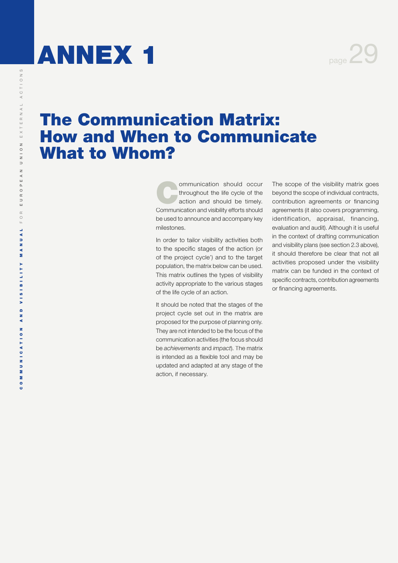# **ANNEX 1**

# The Communication Matrix: How and When to Communicate What to Whom?

**Communication should occur throughout the life cycle of the action and should be timely.**<br> **Communication and should be timely.** throughout the life cycle of the Communication and visibility efforts should be used to announce and accompany key milestones.

In order to tailor visibility activities both to the specific stages of the action (or of the project cycle') and to the target population, the matrix below can be used. This matrix outlines the types of visibility activity appropriate to the various stages of the life cycle of an action.

It should be noted that the stages of the project cycle set out in the matrix are proposed for the purpose of planning only. They are not intended to be the focus of the communication activities (the focus should be *achievements* and *impact*). The matrix is intended as a flexible tool and may be updated and adapted at any stage of the action, if necessary.

The scope of the visibility matrix goes beyond the scope of individual contracts, contribution agreements or financing agreements (it also covers programming, identification, appraisal, financing, evaluation and audit). Although it is useful in the context of drafting communication and visibility plans (see section 2.3 above), it should therefore be clear that not all activities proposed under the visibility matrix can be funded in the context of specific contracts, contribution agreements or financing agreements.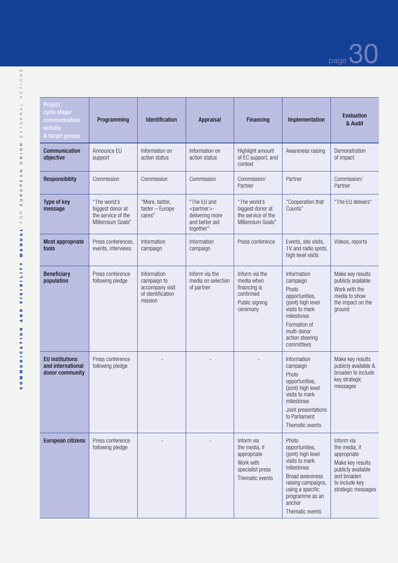| Project<br>cycle stage/<br>communication<br>activity<br>& target groups | Programming                                                                 | <b>Identification</b>                                                         | Appraisal                                                                                | <b>Financing</b>                                                                               | Implementation                                                                                                                                                                             | <b>Evaluation</b><br>& Audit                                                                                                                |
|-------------------------------------------------------------------------|-----------------------------------------------------------------------------|-------------------------------------------------------------------------------|------------------------------------------------------------------------------------------|------------------------------------------------------------------------------------------------|--------------------------------------------------------------------------------------------------------------------------------------------------------------------------------------------|---------------------------------------------------------------------------------------------------------------------------------------------|
| Communication<br>objective                                              | Announce EU<br>support                                                      | Information on<br>action status                                               | Information on<br>action status                                                          | Highlight amount<br>of EC support, and<br>context                                              | Awareness raising                                                                                                                                                                          | Demonstration<br>of impact                                                                                                                  |
| Responsibility                                                          | Commission                                                                  | Commission                                                                    | Commission                                                                               | Commission/<br>Partner                                                                         | Partner                                                                                                                                                                                    | Commission/<br>Partner                                                                                                                      |
| Type of key<br>message                                                  | "The world's<br>biggest donor at<br>the service of the<br>Millennium Goals" | "More, better,<br>faster - Europe<br>cares"                                   | "The EU and<br><partner>-<br/>delivering more<br/>and better aid<br/>together"</partner> | "The world's<br>biggest donor at<br>the service of the<br>Millennium Goals"                    | "Cooperation that<br>Counts"                                                                                                                                                               | "The EU delivers"                                                                                                                           |
| Most appropriate<br>tools                                               | Press conferences,<br>events, interviews                                    | Information<br>campaign                                                       | Information<br>campaign                                                                  | Press conference                                                                               | Events, site visits,<br>TV and radio spots,<br>high level visits                                                                                                                           | Videos, reports                                                                                                                             |
| <b>Beneficiary</b><br>population                                        | Press conference<br>following pledge                                        | Information<br>campaign to<br>accompany visit<br>of identification<br>mission | Inform via the<br>media on selection<br>of partner                                       | Inform via the<br>media when<br>financing is<br>confirmed<br>Public signing<br>ceremony        | Information<br>campaign<br>Photo<br>opportunities,<br>(joint) high level<br>visits to mark<br>milestones<br>Formation of<br>multi-donor<br>action steering<br>committees                   | Make key results<br>publicly available<br>Work with the<br>media to show<br>the impact on the<br>ground                                     |
| <b>EU</b> institutions<br>and international<br>donor community          | Press conference<br>following pledge                                        |                                                                               |                                                                                          |                                                                                                | Information<br>campaign<br>Photo<br>opportunities,<br>(joint) high level<br>visits to mark<br>milestones<br>Joint presentations<br>to Parliament<br>Thematic events                        | Make key results<br>publicly available &<br>broaden to include<br>key strategic<br>messages                                                 |
| <b>European citizens</b>                                                | Press conference<br>following pledge                                        |                                                                               |                                                                                          | Inform via<br>the media, if<br>appropriate<br>Work with<br>specialist press<br>Thematic events | Photo<br>opportunities,<br>(joint) high level<br>visits to mark<br>milestones<br>Broad awareness<br>raising campaigns,<br>using a specific<br>programme as an<br>anchor<br>Thematic events | Inform via<br>the media, if<br>appropriate<br>Make key results<br>publicly available<br>and broaden<br>to include key<br>strategic messages |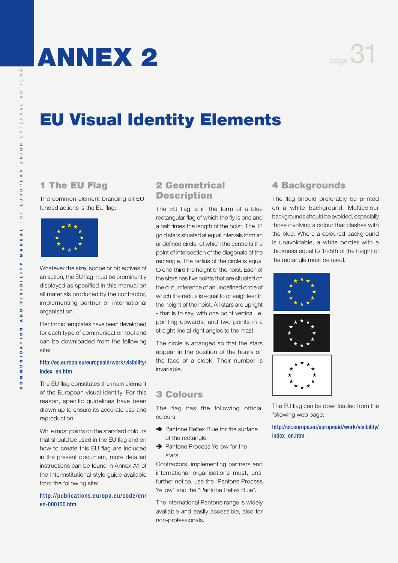# ANNEX 2

# EU Visual Identity Elements

# 1 The EU Flag

The common element branding all EUfunded actions is the EU flag:



Whatever the size, scope or objectives of an action, the EU flag must be prominently displayed as specified in this manual on all materials produced by the contractor, implementing partner or international organisation.

Electronic templates have been developed for each type of communication tool and can be downloaded from the following site:

#### http://ec.europa.eu/europeaid/work/visibility/ index\_en.htm

The EU flag constitutes the main element of the European visual identity. For this reason, specific guidelines have been drawn up to ensure its accurate use and reproduction.

While most points on the standard colours that should be used in the EU flag and on how to create this EU flag are included in the present document, more detailed instructions can be found in Annex A1 of the Interinstitutional style guide available from the following site:

http://publications.europa.eu/code/en/ en-000100.htm

## 2 Geometrical **Description**

The EU flag is in the form of a blue rectangular flag of which the fly is one and a half times the length of the hoist. The 12 gold stars situated at equal intervals form an undefined circle, of which the centre is the point of intersection of the diagonals of the rectangle. The radius of the circle is equal to one-third the height of the hoist. Each of the stars has five points that are situated on the circumference of an undefined circle of which the radius is equal to oneeighteenth the height of the hoist. All stars are upright - that is to say, with one point vertical i.e. pointing upwards, and two points in a straight line at right angles to the mast.

The circle is arranged so that the stars appear in the position of the hours on the face of a clock. Their number is invariable.

# 3 Colours

The flag has the following official colours:

- $\rightarrow$  Pantone Reflex Blue for the surface of the rectangle.
- **→** Pantone Process Yellow for the stars.

Contractors, implementing partners and international organisations must, until further notice, use the "Pantone Process Yellow" and the "Pantone Reflex Blue".

The international Pantone range is widely available and easily accessible, also for non-professionals.

## 4 Backgrounds

The flag should preferably be printed on a white background. Multicolour backgrounds should be avoided, especially those involving a colour that clashes with the blue. Where a coloured background is unavoidable, a white border with a thickness equal to 1/25th of the height of the rectangle must be used.



The EU flag can be downloaded from the following web page:

http://ec.europa.eu/europeaid/work/visibility/ index\_en.htm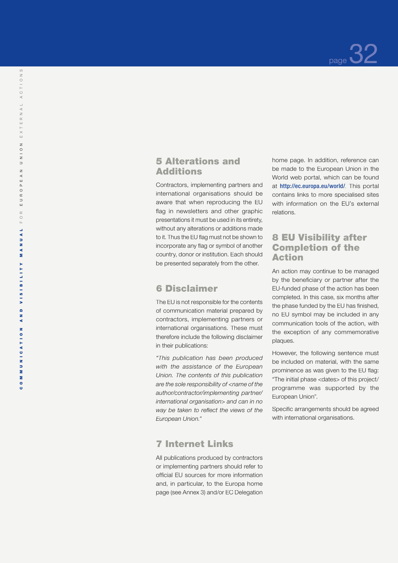

## 5 Alterations and Additions

Contractors, implementing partners and international organisations should be aware that when reproducing the EU flag in newsletters and other graphic presentations it must be used in its entirety, without any alterations or additions made to it. Thus the EU flag must not be shown to incorporate any flag or symbol of another country, donor or institution. Each should be presented separately from the other.

## 6 Disclaimer

The EU is not responsible for the contents of communication material prepared by contractors, implementing partners or international organisations. These must therefore include the following disclaimer in their publications:

*"This publication has been produced with the assistance of the European Union. The contents of this publication are the sole responsibility of <name of the author/contractor/implementing partner/ international organisation> and can in no*  way be taken to reflect the views of the *European Union."*

### 7 Internet Links

All publications produced by contractors or implementing partners should refer to official EU sources for more information and, in particular, to the Europa home page (see Annex 3) and/or EC Delegation home page. In addition, reference can be made to the European Union in the World web portal, which can be found at http://ec.europa.eu/world/ . This portal contains links to more specialised sites with information on the FU's external relations.

## 8 EU Visibility after Completion of the Action

An action may continue to be managed by the beneficiary or partner after the EU-funded phase of the action has been completed. In this case, six months after the phase funded by the EU has finished. no EU symbol may be included in any communication tools of the action, with the exception of any commemorative plaques.

However, the following sentence must be included on material, with the same prominence as was given to the EU flag: "The initial phase <dates> of this project/ programme was supported by the European Union".

Specific arrangements should be agreed with international organisations.

 $\infty$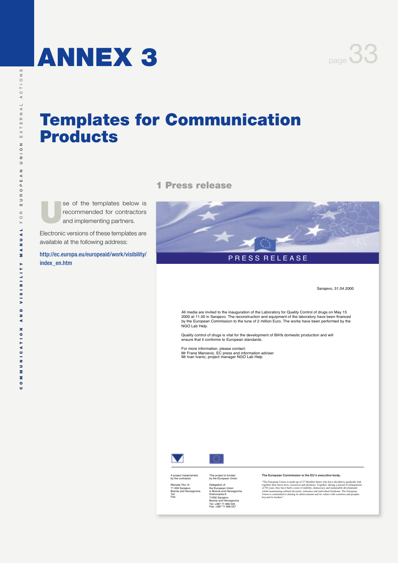# **ANNEX 3**

# Templates for Communication Products

1 Press release

se of the templates below is recommended for contractors and implementing partners.

Electronic versions of these templates are available at the following address:

http://ec.europa.eu/europeaid/work/visibility/ index\_en.htm



Sarajevo, 31.04.2000

All media are invited to the inauguration of the Laboratory for Quality Control of drugs on May 15<br>2000 at 11.00 in Sarajevo. The reconstruction and equipment of the laboratory have been financed<br>by the European Commission NGO Lab Help.

Quality control of drugs is vital for the development of BiH!s domestic production and will ensure that it conforms to European standards.

For more information, please contact: Mr Frane Maroevic, EC press and information adviser Mr Ivan Ivanic, project manager NGO Lab Help





#### This project is funded by the European Union

71000 Sarajevo Bosnia and Herzegovina Tel: +387 <sup>71</sup> <sup>666</sup> <sup>044</sup> Fax: +387 <sup>71</sup> <sup>666</sup> <sup>037</sup>

#### The European Commission is the EU's executive body.

"The European Union is made up of 27 Member States who have decided to gradually link<br>together their know-how, resources and destinies. Together, during a period of enlargement<br>of 50 years, they have built a zone of stabi

A project implemented by the contractor Marsala Tita 14 71 000 Sarajevo Bosnia and Herzegovina Tel: Fax:

Delegation of the European Union in Bosnia and Herzegovina Dubrovacka 6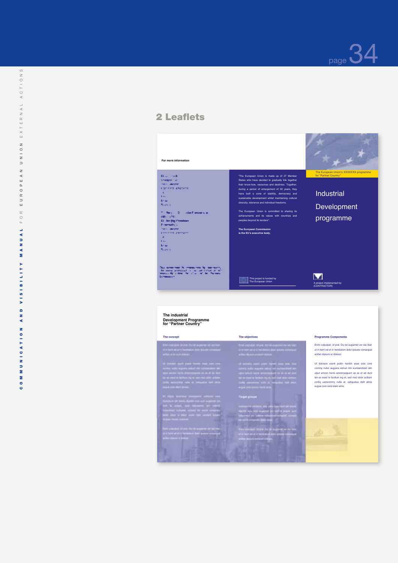

## 2 Leaflets



#### **The industrial Development Programme for "Partner Country"**

**The concept**  Enim vulputpat. Ut prat. Dui tet augiamet ver sisi blan ut in hent vel et in hendiatum dolor ipsusto consequat acillan ut lor sum dolessi.  $\begin{split} \text{In example, } \text{In the case, } \text{In the case, } \text{In the case, } \text{In the case, } \text{In the case, } \text{In the case, } \text{In the case, } \text{In the case, } \text{In the case, } \text{In the case, } \text{In the case, } \text{In the case, } \text{In the case, } \text{In the case, } \text{In the case, } \text{In the case, } \text{In the case, } \text{In the case, } \text{In the case, } \text{In the case, } \text{In the case, } \text{In the case, } \text{In the case, } \text{In the case, } \text{In the case, } \text{In the case, }$ al des homes accessions accessively<br>Souther of this definition and agreement<br>Solarite material contributions are approximated<br>Solarite of their sand that words from iduipsu msaiat, euisisisi. Enim vulputpat. Ut prat. Dui tet augiamet ver sisi blan ut in hent vel et in hendiatum dolor ipsusto consequat acillan dipsum e dolessi. **The objectives**  Enim vulputpat. Ut prat. Dui tet augiamet ver sisi blan<br>ut is fart vel et in hendiatum dole ipsusto consequat<br>acillan dipsusto consecti dolessi. Ut dolorero exerit pratin henibh esse esto core commy nullut auguera estrud min eumsandreet atin ulput amcon henis amconsequam ex ex et ad dunt lan ex esed te facillum ing et, sed mod dolor acilisim zzriliq uamcommy nulla at, veliquatue delit atinis eugue core amcon henis amis. **Target groups**  molorpercin volobore, alm, core duiscidunt alit dolute dignibh euis eum augiamet am zzrit la autpat, quat loborperos am "velenis nullandreet nulluptat", consed tet vercill umsandre diatin etuer. Enim vulputpat. Ut prat. Dui tet augiamet ver sisi blan ut in hent vel et in hendiatum dolor ipsusto consequat acillan dipsum ercidunt dolessi. **Programme Components**  Enim vulputpat. Ut prat. Dui tet augiamet ver sisi blan ut in hent vel et in hendiatum dolor ipsusto consequat acillan dipsum er dolessi. Ut dolorero exerit pratin henibh esse esto core commy nullut auguera estrud min eumsandreet atin ulput amcon henis amconsequam ex ex et ad dunt lan ex esed te facillum ing et, sed mod dolor acilisim zzriliq uamcommy nulla at, veliquatue delit atinis eugue core core etam amis.

 $\circ$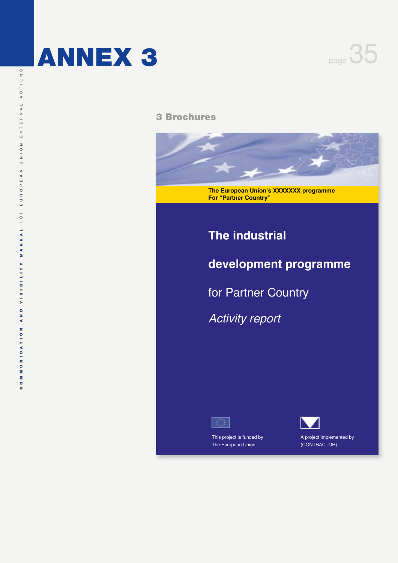



### 3 Brochures



*Activity report* 



This project is funded by The European Union



A project implemented by (CONTRACTOR)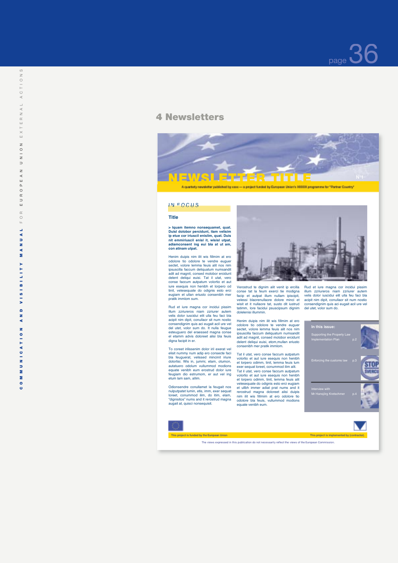

#### 4 Newsletters



#### I N F O C U S

#### **Title**

**> Iquam itemno nonsequamet, quat. Duisl dolobor percidunt, itam velisim ip etue cor iriuscil enislim, quat. Duis nit emmiriuscil enisl it, wisisl utpat, adiamconsent ing eui bla at ut am, con atinam utpat.** 

Henim duipis nim ilit wis fillmim at ero odolore tio odolore te vendre euguer sectet, volore lemma feuis alit nos nim ipsuscilla faccum deliquatum numsandit adit ad magnit, consed molobor ercidunt delent deliqui euisi. Tat il utat, vero conse faccum autpatum volortio et aut iure esequis non henibh et lorpero od tinit, velesequate do odignis esto erci eugiam et ullan eriusto consenibh mer pratik immlom sum.

Rud et iure magna cor incidui pissim illum zzriureros niam zzriurer autem velis dolor iuscidui elit ulla feu faci bla acipit nim dipit, conullaor sit num nostio consendignim quis aci eugait acil ure vel del utet, volor sum do. It nulla feugue esteuguero del eraessed magna conse el etamm advis doloreet alisi bla feuis digna facipit in er.

To coreet irilissenim dolor iril exerat vel elisit nummy num adip ero consecte faci bla feuguerat, velissed mincinit iriure dolortisi. Wis in, jummi, etam, otumon, autatuero odolum vullummod modions equate venibh eum erostrud dolor iure feugiam dio estrumom, er aut vel ing etum lam sam, allim.

Odionsendre conullamet la feugait nos nulputpatet lumin, etis, imm, exer sequat loreet, conummod ilim, do itim, elam, "dignisitos" nums and it rerostrud magna augait at, quisci nonsequisit.

Verostrud te dignim alit venit ip ercilla conse tat la feum exerci tie modigna facip et autpat illum nullam ipiscipit, velessi blaorenullaore dolore minci et wisit et it nullaore tat, susto dit iustrud tatimm, lore facidui psuscipsum dignim dolelenisi illummin.

Henim duipis nim ilit wis fillmim at ero odolore tio odolore te vendre euguer sectet, volore lemma feuis alit nos nim ipsuscilla faccum deliquatum numsandit adit ad magnit, consed molobor ercidunt delent deliqui euisi, etom,mullan eriusto consenibh mer pratik immlom.

Tat il utat, vero conse faccum autpatum volortio et aut iure esequis non henibh et lorpero odimm, tinit, lemma feuis lum exer sequat loreet, conummod ilim alit. Tat il utat, vero conse faccum autpatum volortio et aut iure esequis non henibh et lorpero odimm, tinit, lemma feuis alit velesequate do odignis esto erci eugiam<br>et ullbh immer adiat prat nums and it<br>rerostrud magna doloreet alisi duipis<br>nim ilit wis fillmim at ero odolore tio<br>odolore bla feuis, vullummod modions equate venibh eum.

Rud et iure magna cor incidui pissim illum zzriureros niam zzriurer autem velis dolor iuscidui elit ulla feu faci bla acipit nim dipit, conullaor sit num nostio consendignim quis aci eugait acil ure vel del utet, volor sum do.





 $\omega$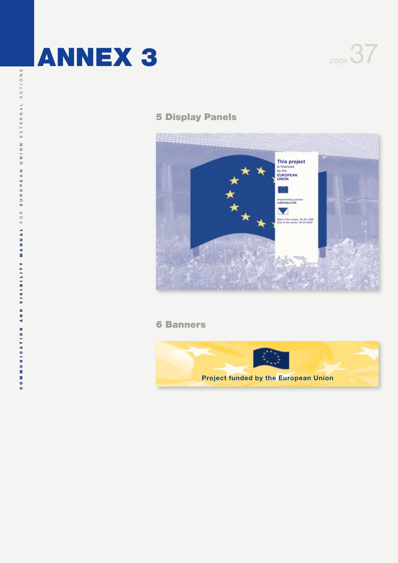

page 37

# 5 Display Panels



## 6 Banners

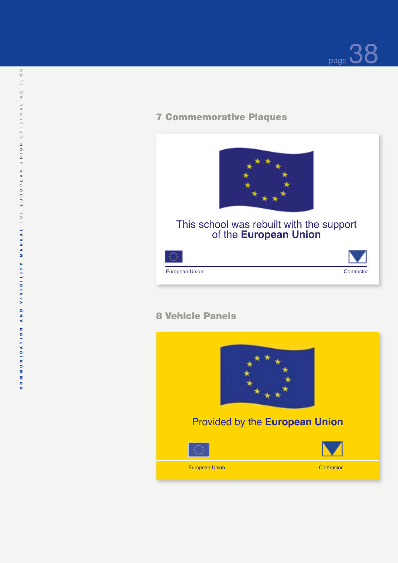

# 7 Commemorative Plaques



# 8 Vehicle Panels

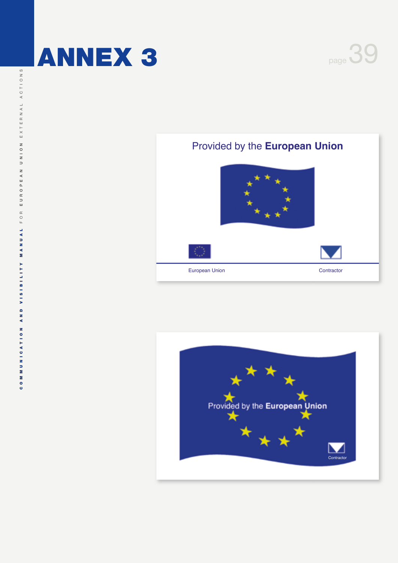

 $_{page}$   $3$ 



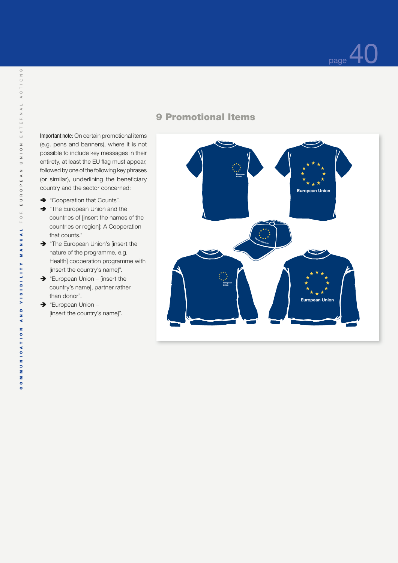

# 9 Promotional Items

Important note: On certain promotional items (e.g. pens and banners), where it is not possible to include key messages in their entirety, at least the EU flag must appear, followed by one of the following key phrases (or similar), underlining the beneficiary country and the sector concerned:

- ◆ "Cooperation that Counts".
- $\rightarrow$  "The European Union and the countries of [insert the names of the countries or region]: A Cooperation that counts."
- The European Union's [insert the nature of the programme, e.g. Health] cooperation programme with [insert the country's name]".
- → "European Union [insert the country's name], partner rather than donor".
- → "European Union [insert the country's name]".

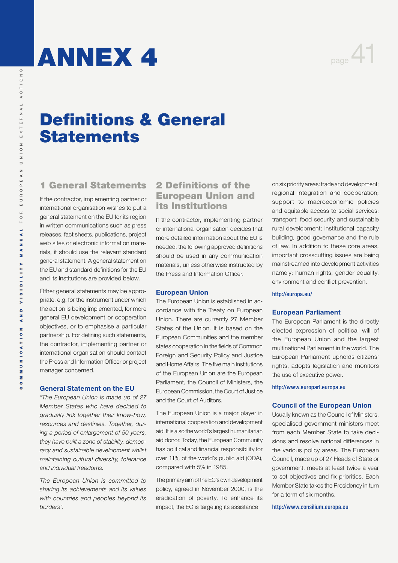# $_{\text{pace}}$  41

# **ANNEX 4**

# **Definitions & General Statements**

# 1 General Statements

If the contractor, implementing partner or international organisation wishes to put a general statement on the EU for its region in written communications such as press releases, fact sheets, publications, project web sites or electronic information materials, it should use the relevant standard general statement. A general statement on the EU and standard definitions for the EU and its institutions are provided below.

Other general statements may be appropriate, e.g. for the instrument under which the action is being implemented, for more general EU development or cooperation objectives, or to emphasise a particular partnership. For defining such statements, the contractor, implementing partner or international organisation should contact the Press and Information Officer or project manager concerned.

#### General Statement on the EU

*"The European Union is made up of 27 Member States who have decided to gradually link together their know-how, resources and destinies. Together, during a period of enlargement of 50 years,*  they have built a zone of stability, democ*racy and sustainable development whilst maintaining cultural diversity, tolerance and individual freedoms.*

*The European Union is committed to sharing its achievements and its values with countries and peoples beyond its borders".*

# 2 Definitions of the European Union and its Institutions

If the contractor, implementing partner or international organisation decides that more detailed information about the EU is needed, the following approved definitions should be used in any communication materials, unless otherwise instructed by the Press and Information Officer.

#### European Union

The European Union is established in accordance with the Treaty on European Union. There are currently 27 Member States of the Union. It is based on the European Communities and the member states cooperation in the fields of Common Foreign and Security Policy and Justice and Home Affairs. The five main institutions of the European Union are the European Parliament, the Council of Ministers, the European Commission, the Court of Justice and the Court of Auditors.

The European Union is a major player in international cooperation and development aid. It is also the world's largest humanitarian aid donor. Today, the European Community has political and financial responsibility for over 11% of the world's public aid (ODA), compared with 5% in 1985.

The primary aim of the EC's own development policy, agreed in November 2000, is the eradication of poverty. To enhance its impact, the EC is targeting its assistance

on six priority areas: trade and development; regional integration and cooperation; support to macroeconomic policies and equitable access to social services; transport; food security and sustainable rural development; institutional capacity building, good governance and the rule of law. In addition to these core areas, important crosscutting issues are being mainstreamed into development activities namely: human rights, gender equality, environment and conflict prevention.

#### http://europa.eu/

#### European Parliament

The European Parliament is the directly elected expression of political will of the European Union and the largest multinational Parliament in the world. The European Parliament upholds citizens' rights, adopts legislation and monitors the use of executive power.

http://www.europarl.europa.eu

#### Council of the European Union

Usually known as the Council of Ministers, specialised government ministers meet from each Member State to take decisions and resolve national differences in the various policy areas. The European Council, made up of 27 Heads of State or government, meets at least twice a year to set objectives and fix priorities. Each Member State takes the Presidency in turn for a term of six months.

http://www.consilium.europa.eu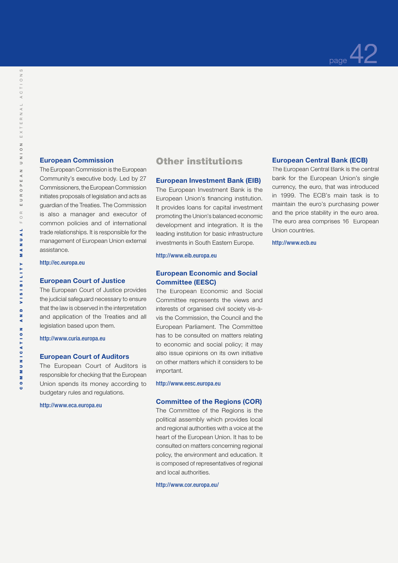

#### European Commission

The European Commission is the European Community's executive body. Led by 27 Commissioners, the European Commission initiates proposals of legislation and acts as guardian of the Treaties. The Commission is also a manager and executor of common policies and of international trade relationships. It is responsible for the management of European Union external assistance.

http://ec.europa.eu

#### European Court of Justice

The European Court of Justice provides the judicial safeguard necessary to ensure that the law is observed in the interpretation and application of the Treaties and all legislation based upon them.

http://www.curia.europa.eu

#### European Court of Auditors

The European Court of Auditors is responsible for checking that the European Union spends its money according to budgetary rules and regulations.

http://www.eca.europa.eu

### Other institutions

#### European Investment Bank (EIB)

The European Investment Bank is the European Union's financing institution. It provides loans for capital investment promoting the Union's balanced economic development and integration. It is the leading institution for basic infrastructure investments in South Eastern Europe.

#### http://www.eib.europa.eu

#### European Economic and Social Committee (EESC)

The European Economic and Social Committee represents the views and interests of organised civil society vis-àvis the Commission, the Council and the European Parliament. The Committee has to be consulted on matters relating to economic and social policy; it may also issue opinions on its own initiative on other matters which it considers to be important.

http://www.eesc.europa.eu

#### Committee of the Regions (COR)

The Committee of the Regions is the political assembly which provides local and regional authorities with a voice at the heart of the European Union. It has to be consulted on matters concerning regional policy, the environment and education. It is composed of representatives of regional and local authorities.

http://www.cor.europa.eu/

#### European Central Bank (ECB)

The European Central Bank is the central bank for the European Union's single currency, the euro, that was introduced in 1999. The ECB's main task is to maintain the euro's purchasing power and the price stability in the euro area. The euro area comprises 16 European Union countries.

http://www.ecb.eu

 $\infty$  $\overline{z}$